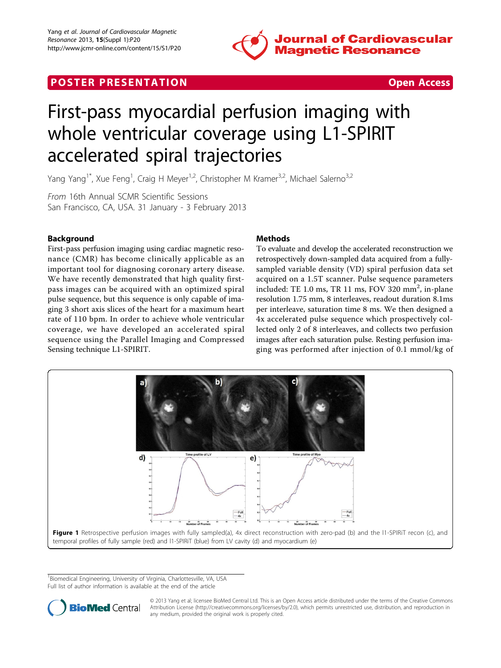<span id="page-0-0"></span>





# First-pass myocardial perfusion imaging with whole ventricular coverage using L1-SPIRIT accelerated spiral trajectories

Yang Yang<sup>1\*</sup>, Xue Feng<sup>1</sup>, Craig H Meyer<sup>1,2</sup>, Christopher M Kramer<sup>3,2</sup>, Michael Salerno<sup>3,2</sup>

From 16th Annual SCMR Scientific Sessions San Francisco, CA, USA. 31 January - 3 February 2013

# Background

First-pass perfusion imaging using cardiac magnetic resonance (CMR) has become clinically applicable as an important tool for diagnosing coronary artery disease. We have recently demonstrated that high quality firstpass images can be acquired with an optimized spiral pulse sequence, but this sequence is only capable of imaging 3 short axis slices of the heart for a maximum heart rate of 110 bpm. In order to achieve whole ventricular coverage, we have developed an accelerated spiral sequence using the Parallel Imaging and Compressed Sensing technique L1-SPIRIT.

# Methods

To evaluate and develop the accelerated reconstruction we retrospectively down-sampled data acquired from a fullysampled variable density (VD) spiral perfusion data set acquired on a 1.5T scanner. Pulse sequence parameters included: TE 1.0 ms, TR 11 ms, FOV 320 mm<sup>2</sup>, in-plane resolution 1.75 mm, 8 interleaves, readout duration 8.1ms per interleave, saturation time 8 ms. We then designed a 4x accelerated pulse sequence which prospectively collected only 2 of 8 interleaves, and collects two perfusion images after each saturation pulse. Resting perfusion imaging was performed after injection of 0.1 mmol/kg of



<sup>1</sup> Biomedical Engineering, University of Virginia, Charlottesville, VA, USA Full list of author information is available at the end of the article



© 2013 Yang et al; licensee BioMed Central Ltd. This is an Open Access article distributed under the terms of the Creative Commons Attribution License [\(http://creativecommons.org/licenses/by/2.0](http://creativecommons.org/licenses/by/2.0)), which permits unrestricted use, distribution, and reproduction in any medium, provided the original work is properly cited.